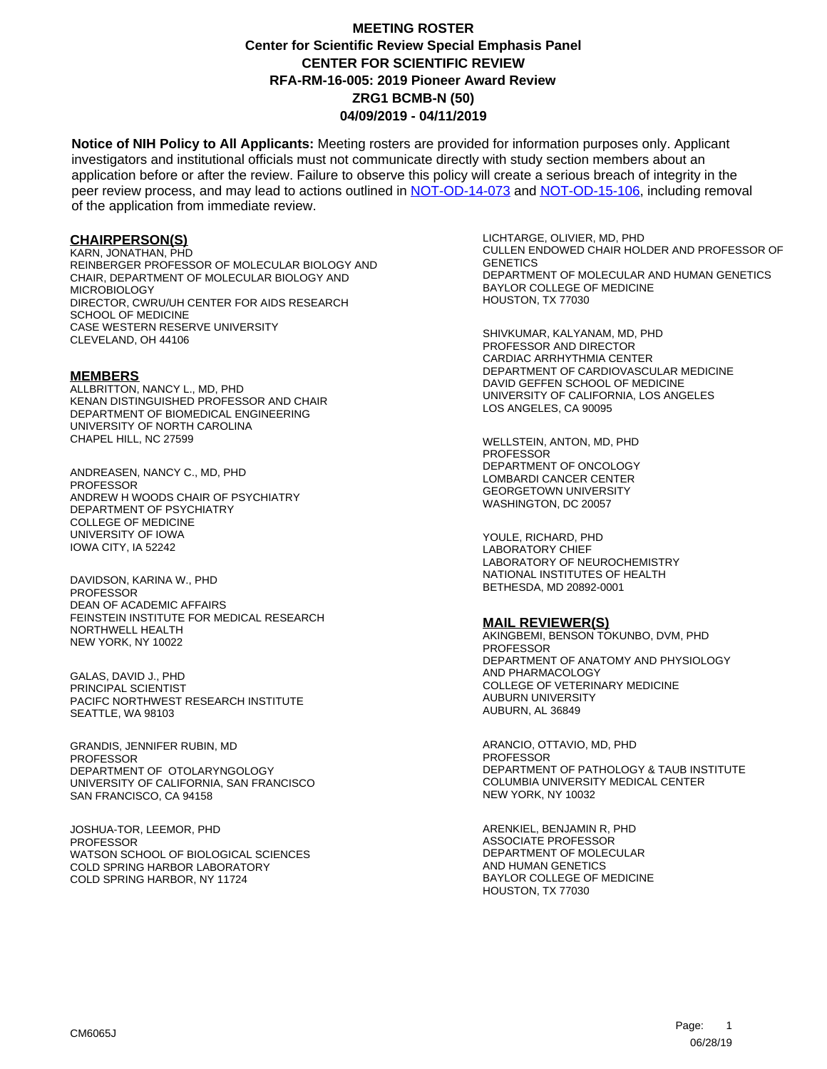**Notice of NIH Policy to All Applicants:** Meeting rosters are provided for information purposes only. Applicant investigators and institutional officials must not communicate directly with study section members about an application before or after the review. Failure to observe this policy will create a serious breach of integrity in the peer review process, and may lead to actions outlined in [NOT-OD-14-073](https://grants.nih.gov/grants/guide/notice-files/NOT-OD-14-073.html) and [NOT-OD-15-106,](https://grants.nih.gov/grants/guide/notice-files/NOT-OD-15-106.html) including removal of the application from immediate review.

#### **CHAIRPERSON(S)**

KARN, JONATHAN, PHD REINBERGER PROFESSOR OF MOLECULAR BIOLOGY AND CHAIR, DEPARTMENT OF MOLECULAR BIOLOGY AND MICROBIOLOGY DIRECTOR, CWRU/UH CENTER FOR AIDS RESEARCH SCHOOL OF MEDICINE CASE WESTERN RESERVE UNIVERSITY CLEVELAND, OH 44106

#### **MEMBERS**

ALLBRITTON, NANCY L., MD, PHD KENAN DISTINGUISHED PROFESSOR AND CHAIR DEPARTMENT OF BIOMEDICAL ENGINEERING UNIVERSITY OF NORTH CAROLINA CHAPEL HILL, NC 27599

ANDREASEN, NANCY C., MD, PHD PROFESSOR ANDREW H WOODS CHAIR OF PSYCHIATRY DEPARTMENT OF PSYCHIATRY COLLEGE OF MEDICINE UNIVERSITY OF IOWA IOWA CITY, IA 52242

DAVIDSON, KARINA W., PHD **PROFESSOR** DEAN OF ACADEMIC AFFAIRS FEINSTEIN INSTITUTE FOR MEDICAL RESEARCH NORTHWELL HEALTH NEW YORK, NY 10022

GALAS, DAVID J., PHD PRINCIPAL SCIENTIST PACIFC NORTHWEST RESEARCH INSTITUTE SEATTLE, WA 98103

GRANDIS, JENNIFER RUBIN, MD PROFESSOR DEPARTMENT OF OTOLARYNGOLOGY UNIVERSITY OF CALIFORNIA, SAN FRANCISCO SAN FRANCISCO, CA 94158

JOSHUA-TOR, LEEMOR, PHD PROFESSOR WATSON SCHOOL OF BIOLOGICAL SCIENCES COLD SPRING HARBOR LABORATORY COLD SPRING HARBOR, NY 11724

LICHTARGE, OLIVIER, MD, PHD CULLEN ENDOWED CHAIR HOLDER AND PROFESSOR OF **GENETICS** DEPARTMENT OF MOLECULAR AND HUMAN GENETICS BAYLOR COLLEGE OF MEDICINE HOUSTON, TX 77030

SHIVKUMAR, KALYANAM, MD, PHD PROFESSOR AND DIRECTOR CARDIAC ARRHYTHMIA CENTER DEPARTMENT OF CARDIOVASCULAR MEDICINE DAVID GEFFEN SCHOOL OF MEDICINE UNIVERSITY OF CALIFORNIA, LOS ANGELES LOS ANGELES, CA 90095

WELLSTEIN, ANTON, MD, PHD PROFESSOR DEPARTMENT OF ONCOLOGY LOMBARDI CANCER CENTER GEORGETOWN UNIVERSITY WASHINGTON, DC 20057

YOULE, RICHARD, PHD LABORATORY CHIEF LABORATORY OF NEUROCHEMISTRY NATIONAL INSTITUTES OF HEALTH BETHESDA, MD 20892-0001

#### **MAIL REVIEWER(S)**

AKINGBEMI, BENSON TOKUNBO, DVM, PHD PROFESSOR DEPARTMENT OF ANATOMY AND PHYSIOLOGY AND PHARMACOLOGY COLLEGE OF VETERINARY MEDICINE AUBURN UNIVERSITY AUBURN, AL 36849

ARANCIO, OTTAVIO, MD, PHD **PROFESSOR** DEPARTMENT OF PATHOLOGY & TAUB INSTITUTE COLUMBIA UNIVERSITY MEDICAL CENTER NEW YORK, NY 10032

ARENKIEL, BENJAMIN R, PHD ASSOCIATE PROFESSOR DEPARTMENT OF MOLECULAR AND HUMAN GENETICS BAYLOR COLLEGE OF MEDICINE HOUSTON, TX 77030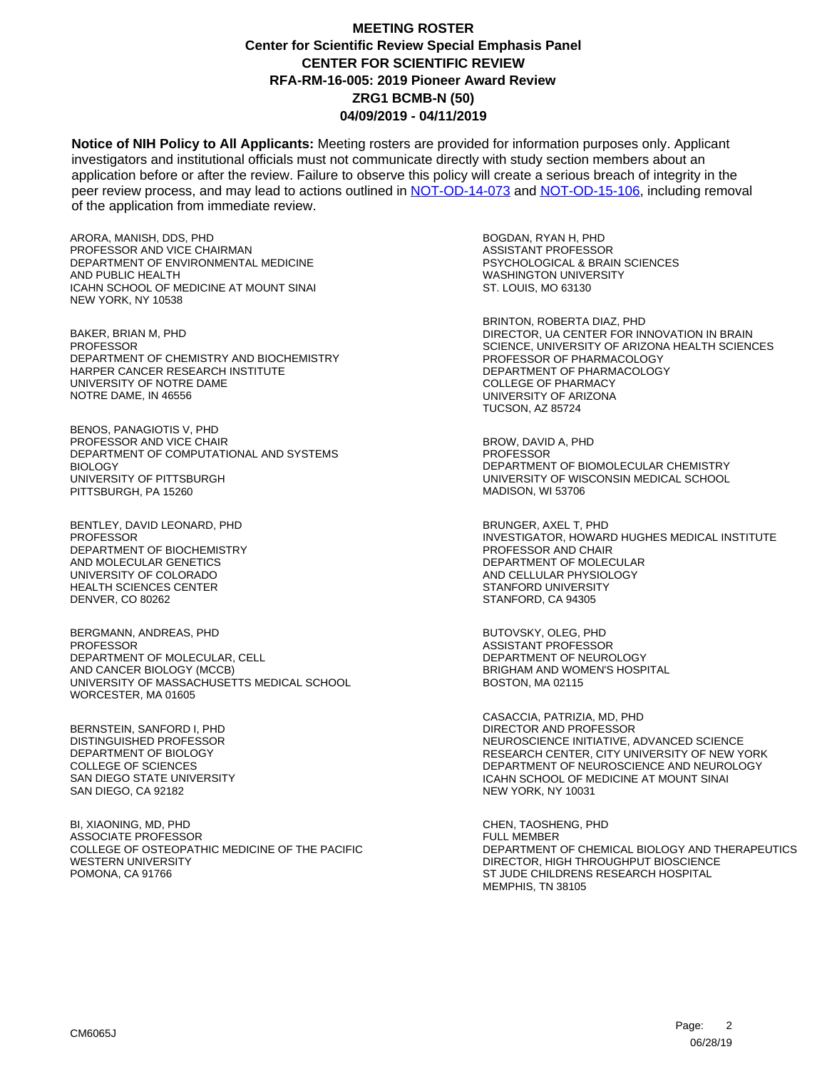**Notice of NIH Policy to All Applicants:** Meeting rosters are provided for information purposes only. Applicant investigators and institutional officials must not communicate directly with study section members about an application before or after the review. Failure to observe this policy will create a serious breach of integrity in the peer review process, and may lead to actions outlined in [NOT-OD-14-073](https://grants.nih.gov/grants/guide/notice-files/NOT-OD-14-073.html) and [NOT-OD-15-106,](https://grants.nih.gov/grants/guide/notice-files/NOT-OD-15-106.html) including removal of the application from immediate review.

ARORA, MANISH, DDS, PHD PROFESSOR AND VICE CHAIRMAN DEPARTMENT OF ENVIRONMENTAL MEDICINE AND PUBLIC HEALTH ICAHN SCHOOL OF MEDICINE AT MOUNT SINAI NEW YORK, NY 10538

BAKER, BRIAN M, PHD **PROFESSOR** DEPARTMENT OF CHEMISTRY AND BIOCHEMISTRY HARPER CANCER RESEARCH INSTITUTE UNIVERSITY OF NOTRE DAME NOTRE DAME, IN 46556

BENOS, PANAGIOTIS V, PHD PROFESSOR AND VICE CHAIR DEPARTMENT OF COMPUTATIONAL AND SYSTEMS BIOLOGY UNIVERSITY OF PITTSBURGH PITTSBURGH, PA 15260

BENTLEY, DAVID LEONARD, PHD PROFESSOR DEPARTMENT OF BIOCHEMISTRY AND MOLECULAR GENETICS UNIVERSITY OF COLORADO HEALTH SCIENCES CENTER DENVER, CO 80262

BERGMANN, ANDREAS, PHD PROFESSOR DEPARTMENT OF MOLECULAR, CELL AND CANCER BIOLOGY (MCCB) UNIVERSITY OF MASSACHUSETTS MEDICAL SCHOOL WORCESTER, MA 01605

BERNSTEIN, SANFORD I, PHD DISTINGUISHED PROFESSOR DEPARTMENT OF BIOLOGY COLLEGE OF SCIENCES SAN DIEGO STATE UNIVERSITY SAN DIEGO, CA 92182

BI, XIAONING, MD, PHD ASSOCIATE PROFESSOR COLLEGE OF OSTEOPATHIC MEDICINE OF THE PACIFIC WESTERN UNIVERSITY POMONA, CA 91766

BOGDAN, RYAN H, PHD ASSISTANT PROFESSOR PSYCHOLOGICAL & BRAIN SCIENCES WASHINGTON UNIVERSITY ST. LOUIS, MO 63130

BRINTON, ROBERTA DIAZ, PHD DIRECTOR, UA CENTER FOR INNOVATION IN BRAIN SCIENCE, UNIVERSITY OF ARIZONA HEALTH SCIENCES PROFESSOR OF PHARMACOLOGY DEPARTMENT OF PHARMACOLOGY COLLEGE OF PHARMACY UNIVERSITY OF ARIZONA TUCSON, AZ 85724

BROW, DAVID A, PHD **PROFESSOR** DEPARTMENT OF BIOMOLECULAR CHEMISTRY UNIVERSITY OF WISCONSIN MEDICAL SCHOOL MADISON, WI 53706

BRUNGER, AXEL T, PHD INVESTIGATOR, HOWARD HUGHES MEDICAL INSTITUTE PROFESSOR AND CHAIR DEPARTMENT OF MOLECULAR AND CELLULAR PHYSIOLOGY STANFORD UNIVERSITY STANFORD, CA 94305

BUTOVSKY, OLEG, PHD ASSISTANT PROFESSOR DEPARTMENT OF NEUROLOGY BRIGHAM AND WOMEN'S HOSPITAL BOSTON, MA 02115

CASACCIA, PATRIZIA, MD, PHD DIRECTOR AND PROFESSOR NEUROSCIENCE INITIATIVE, ADVANCED SCIENCE RESEARCH CENTER, CITY UNIVERSITY OF NEW YORK DEPARTMENT OF NEUROSCIENCE AND NEUROLOGY ICAHN SCHOOL OF MEDICINE AT MOUNT SINAI NEW YORK, NY 10031

CHEN, TAOSHENG, PHD FULL MEMBER DEPARTMENT OF CHEMICAL BIOLOGY AND THERAPEUTICS DIRECTOR, HIGH THROUGHPUT BIOSCIENCE ST JUDE CHILDRENS RESEARCH HOSPITAL MEMPHIS, TN 38105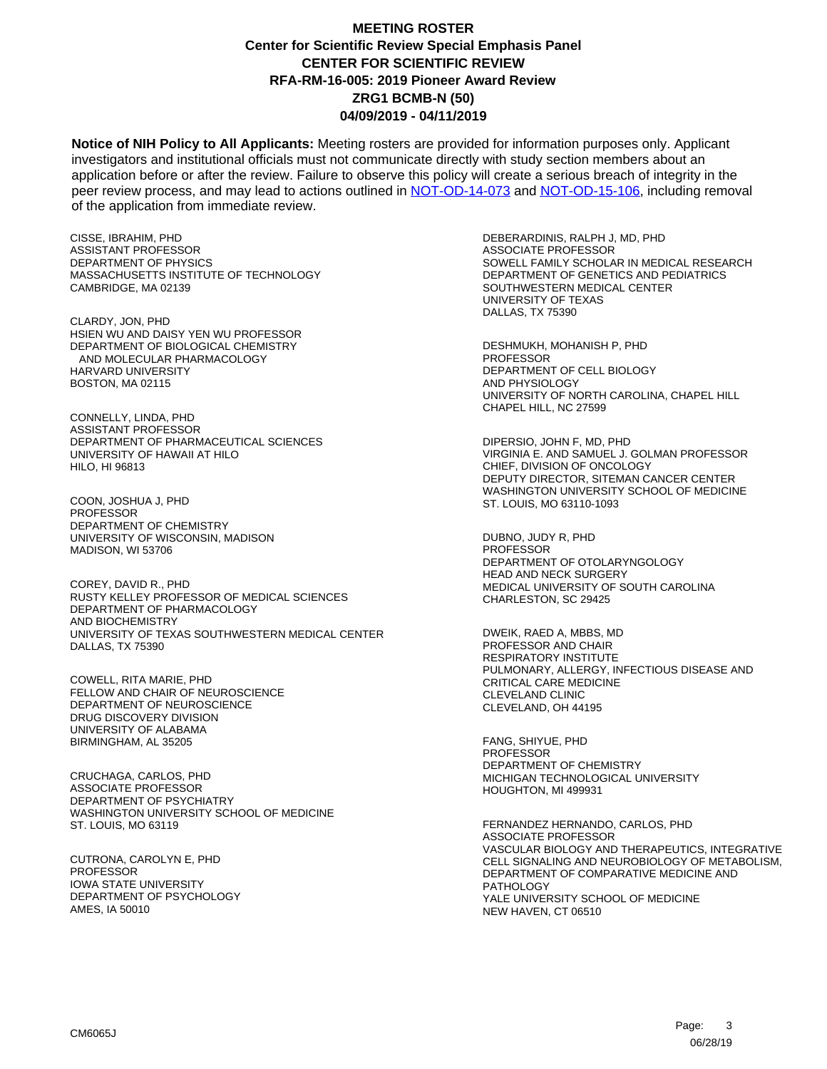**Notice of NIH Policy to All Applicants:** Meeting rosters are provided for information purposes only. Applicant investigators and institutional officials must not communicate directly with study section members about an application before or after the review. Failure to observe this policy will create a serious breach of integrity in the peer review process, and may lead to actions outlined in [NOT-OD-14-073](https://grants.nih.gov/grants/guide/notice-files/NOT-OD-14-073.html) and [NOT-OD-15-106,](https://grants.nih.gov/grants/guide/notice-files/NOT-OD-15-106.html) including removal of the application from immediate review.

CISSE, IBRAHIM, PHD ASSISTANT PROFESSOR DEPARTMENT OF PHYSICS MASSACHUSETTS INSTITUTE OF TECHNOLOGY CAMBRIDGE, MA 02139

CLARDY, JON, PHD HSIEN WU AND DAISY YEN WU PROFESSOR DEPARTMENT OF BIOLOGICAL CHEMISTRY AND MOLECULAR PHARMACOLOGY HARVARD UNIVERSITY BOSTON, MA 02115

CONNELLY, LINDA, PHD ASSISTANT PROFESSOR DEPARTMENT OF PHARMACEUTICAL SCIENCES UNIVERSITY OF HAWAII AT HILO HILO, HI 96813

COON, JOSHUA J, PHD PROFESSOR DEPARTMENT OF CHEMISTRY UNIVERSITY OF WISCONSIN, MADISON MADISON, WI 53706

COREY, DAVID R., PHD RUSTY KELLEY PROFESSOR OF MEDICAL SCIENCES DEPARTMENT OF PHARMACOLOGY AND BIOCHEMISTRY UNIVERSITY OF TEXAS SOUTHWESTERN MEDICAL CENTER DALLAS, TX 75390

COWELL, RITA MARIE, PHD FELLOW AND CHAIR OF NEUROSCIENCE DEPARTMENT OF NEUROSCIENCE DRUG DISCOVERY DIVISION UNIVERSITY OF ALABAMA BIRMINGHAM, AL 35205

CRUCHAGA, CARLOS, PHD ASSOCIATE PROFESSOR DEPARTMENT OF PSYCHIATRY WASHINGTON UNIVERSITY SCHOOL OF MEDICINE ST. LOUIS, MO 63119

CUTRONA, CAROLYN E, PHD PROFESSOR IOWA STATE UNIVERSITY DEPARTMENT OF PSYCHOLOGY AMES, IA 50010

DEBERARDINIS, RALPH J, MD, PHD ASSOCIATE PROFESSOR SOWELL FAMILY SCHOLAR IN MEDICAL RESEARCH DEPARTMENT OF GENETICS AND PEDIATRICS SOUTHWESTERN MEDICAL CENTER UNIVERSITY OF TEXAS DALLAS, TX 75390

DESHMUKH, MOHANISH P, PHD **PROFESSOR** DEPARTMENT OF CELL BIOLOGY AND PHYSIOLOGY UNIVERSITY OF NORTH CAROLINA, CHAPEL HILL CHAPEL HILL, NC 27599

DIPERSIO, JOHN F, MD, PHD VIRGINIA E. AND SAMUEL J. GOLMAN PROFESSOR CHIEF, DIVISION OF ONCOLOGY DEPUTY DIRECTOR, SITEMAN CANCER CENTER WASHINGTON UNIVERSITY SCHOOL OF MEDICINE ST. LOUIS, MO 63110-1093

DUBNO, JUDY R, PHD PROFESSOR DEPARTMENT OF OTOLARYNGOLOGY HEAD AND NECK SURGERY MEDICAL UNIVERSITY OF SOUTH CAROLINA CHARLESTON, SC 29425

DWEIK, RAED A, MBBS, MD PROFESSOR AND CHAIR RESPIRATORY INSTITUTE PULMONARY, ALLERGY, INFECTIOUS DISEASE AND CRITICAL CARE MEDICINE CLEVELAND CLINIC CLEVELAND, OH 44195

FANG, SHIYUE, PHD PROFESSOR DEPARTMENT OF CHEMISTRY MICHIGAN TECHNOLOGICAL UNIVERSITY HOUGHTON, MI 499931

FERNANDEZ HERNANDO, CARLOS, PHD ASSOCIATE PROFESSOR VASCULAR BIOLOGY AND THERAPEUTICS, INTEGRATIVE CELL SIGNALING AND NEUROBIOLOGY OF METABOLISM, DEPARTMENT OF COMPARATIVE MEDICINE AND PATHOLOGY YALE UNIVERSITY SCHOOL OF MEDICINE NEW HAVEN, CT 06510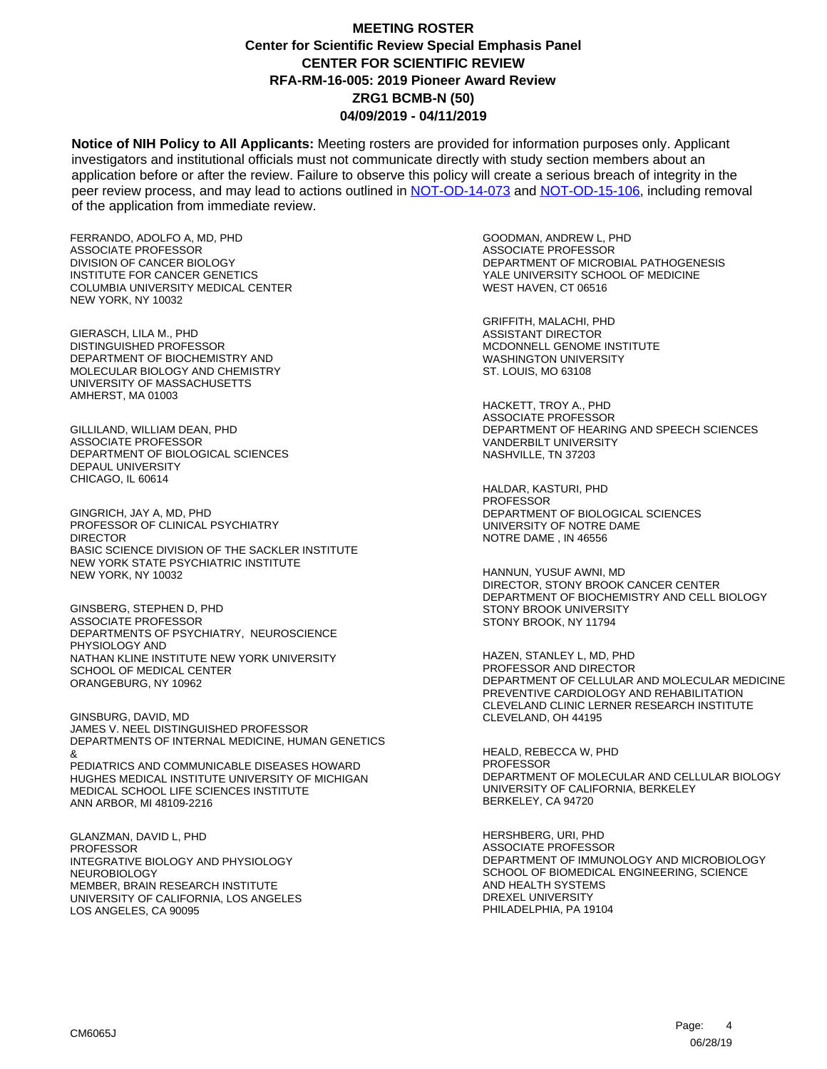**Notice of NIH Policy to All Applicants:** Meeting rosters are provided for information purposes only. Applicant investigators and institutional officials must not communicate directly with study section members about an application before or after the review. Failure to observe this policy will create a serious breach of integrity in the peer review process, and may lead to actions outlined in [NOT-OD-14-073](https://grants.nih.gov/grants/guide/notice-files/NOT-OD-14-073.html) and [NOT-OD-15-106,](https://grants.nih.gov/grants/guide/notice-files/NOT-OD-15-106.html) including removal of the application from immediate review.

FERRANDO, ADOLFO A, MD, PHD ASSOCIATE PROFESSOR DIVISION OF CANCER BIOLOGY INSTITUTE FOR CANCER GENETICS COLUMBIA UNIVERSITY MEDICAL CENTER NEW YORK, NY 10032

GIERASCH, LILA M., PHD DISTINGUISHED PROFESSOR DEPARTMENT OF BIOCHEMISTRY AND MOLECULAR BIOLOGY AND CHEMISTRY UNIVERSITY OF MASSACHUSETTS AMHERST, MA 01003

GILLILAND, WILLIAM DEAN, PHD ASSOCIATE PROFESSOR DEPARTMENT OF BIOLOGICAL SCIENCES DEPAUL UNIVERSITY CHICAGO, IL 60614

GINGRICH, JAY A, MD, PHD PROFESSOR OF CLINICAL PSYCHIATRY DIRECTOR BASIC SCIENCE DIVISION OF THE SACKLER INSTITUTE NEW YORK STATE PSYCHIATRIC INSTITUTE NEW YORK, NY 10032

GINSBERG, STEPHEN D, PHD ASSOCIATE PROFESSOR DEPARTMENTS OF PSYCHIATRY, NEUROSCIENCE PHYSIOLOGY AND NATHAN KLINE INSTITUTE NEW YORK UNIVERSITY SCHOOL OF MEDICAL CENTER ORANGEBURG, NY 10962

GINSBURG, DAVID, MD JAMES V. NEEL DISTINGUISHED PROFESSOR DEPARTMENTS OF INTERNAL MEDICINE, HUMAN GENETICS & PEDIATRICS AND COMMUNICABLE DISEASES HOWARD HUGHES MEDICAL INSTITUTE UNIVERSITY OF MICHIGAN MEDICAL SCHOOL LIFE SCIENCES INSTITUTE ANN ARBOR, MI 48109-2216

GLANZMAN, DAVID L, PHD PROFESSOR INTEGRATIVE BIOLOGY AND PHYSIOLOGY NEUROBIOLOGY MEMBER, BRAIN RESEARCH INSTITUTE UNIVERSITY OF CALIFORNIA, LOS ANGELES LOS ANGELES, CA 90095

GOODMAN, ANDREW L, PHD ASSOCIATE PROFESSOR DEPARTMENT OF MICROBIAL PATHOGENESIS YALE UNIVERSITY SCHOOL OF MEDICINE WEST HAVEN, CT 06516

GRIFFITH, MALACHI, PHD ASSISTANT DIRECTOR MCDONNELL GENOME INSTITUTE WASHINGTON UNIVERSITY ST. LOUIS, MO 63108

HACKETT, TROY A., PHD ASSOCIATE PROFESSOR DEPARTMENT OF HEARING AND SPEECH SCIENCES VANDERBILT UNIVERSITY NASHVILLE, TN 37203

HALDAR, KASTURI, PHD **PROFESSOR** DEPARTMENT OF BIOLOGICAL SCIENCES UNIVERSITY OF NOTRE DAME NOTRE DAME , IN 46556

HANNUN, YUSUF AWNI, MD DIRECTOR, STONY BROOK CANCER CENTER DEPARTMENT OF BIOCHEMISTRY AND CELL BIOLOGY STONY BROOK UNIVERSITY STONY BROOK, NY 11794

HAZEN, STANLEY L, MD, PHD PROFESSOR AND DIRECTOR DEPARTMENT OF CELLULAR AND MOLECULAR MEDICINE PREVENTIVE CARDIOLOGY AND REHABILITATION CLEVELAND CLINIC LERNER RESEARCH INSTITUTE CLEVELAND, OH 44195

HEALD, REBECCA W, PHD **PROFESSOR** DEPARTMENT OF MOLECULAR AND CELLULAR BIOLOGY UNIVERSITY OF CALIFORNIA, BERKELEY BERKELEY, CA 94720

HERSHBERG, URI, PHD ASSOCIATE PROFESSOR DEPARTMENT OF IMMUNOLOGY AND MICROBIOLOGY SCHOOL OF BIOMEDICAL ENGINEERING, SCIENCE AND HEALTH SYSTEMS DREXEL UNIVERSITY PHILADELPHIA, PA 19104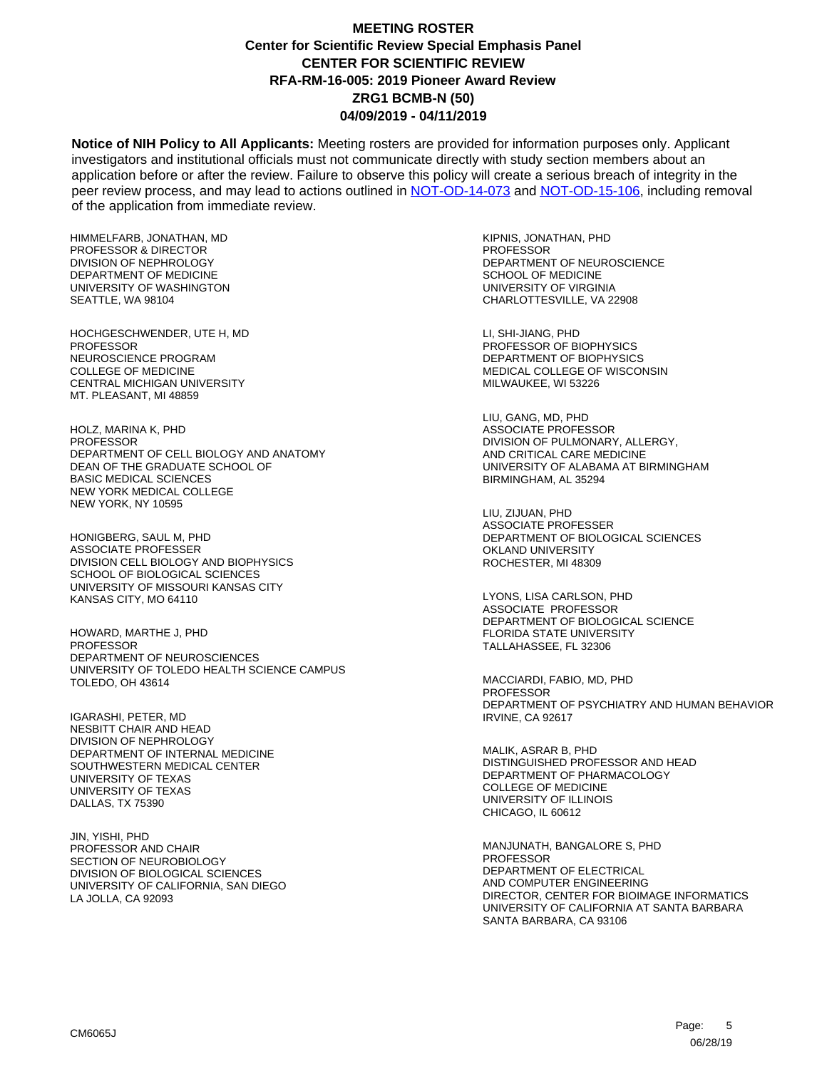**Notice of NIH Policy to All Applicants:** Meeting rosters are provided for information purposes only. Applicant investigators and institutional officials must not communicate directly with study section members about an application before or after the review. Failure to observe this policy will create a serious breach of integrity in the peer review process, and may lead to actions outlined in [NOT-OD-14-073](https://grants.nih.gov/grants/guide/notice-files/NOT-OD-14-073.html) and [NOT-OD-15-106,](https://grants.nih.gov/grants/guide/notice-files/NOT-OD-15-106.html) including removal of the application from immediate review.

HIMMELFARB, JONATHAN, MD PROFESSOR & DIRECTOR DIVISION OF NEPHROLOGY DEPARTMENT OF MEDICINE UNIVERSITY OF WASHINGTON SEATTLE, WA 98104

HOCHGESCHWENDER, UTE H, MD PROFESSOR NEUROSCIENCE PROGRAM COLLEGE OF MEDICINE CENTRAL MICHIGAN UNIVERSITY MT. PLEASANT, MI 48859

HOLZ, MARINA K, PHD PROFESSOR DEPARTMENT OF CELL BIOLOGY AND ANATOMY DEAN OF THE GRADUATE SCHOOL OF BASIC MEDICAL SCIENCES NEW YORK MEDICAL COLLEGE NEW YORK, NY 10595

HONIGBERG, SAUL M, PHD ASSOCIATE PROFESSER DIVISION CELL BIOLOGY AND BIOPHYSICS SCHOOL OF BIOLOGICAL SCIENCES UNIVERSITY OF MISSOURI KANSAS CITY KANSAS CITY, MO 64110

HOWARD, MARTHE J, PHD PROFESSOR DEPARTMENT OF NEUROSCIENCES UNIVERSITY OF TOLEDO HEALTH SCIENCE CAMPUS TOLEDO, OH 43614

IGARASHI, PETER, MD NESBITT CHAIR AND HEAD DIVISION OF NEPHROLOGY DEPARTMENT OF INTERNAL MEDICINE SOUTHWESTERN MEDICAL CENTER UNIVERSITY OF TEXAS UNIVERSITY OF TEXAS DALLAS, TX 75390

JIN, YISHI, PHD PROFESSOR AND CHAIR SECTION OF NEUROBIOLOGY DIVISION OF BIOLOGICAL SCIENCES UNIVERSITY OF CALIFORNIA, SAN DIEGO LA JOLLA, CA 92093

KIPNIS, JONATHAN, PHD PROFESSOR DEPARTMENT OF NEUROSCIENCE SCHOOL OF MEDICINE UNIVERSITY OF VIRGINIA CHARLOTTESVILLE, VA 22908

LI, SHI-JIANG, PHD PROFESSOR OF BIOPHYSICS DEPARTMENT OF BIOPHYSICS MEDICAL COLLEGE OF WISCONSIN MILWAUKEE, WI 53226

LIU, GANG, MD, PHD ASSOCIATE PROFESSOR DIVISION OF PULMONARY, ALLERGY, AND CRITICAL CARE MEDICINE UNIVERSITY OF ALABAMA AT BIRMINGHAM BIRMINGHAM, AL 35294

LIU, ZIJUAN, PHD ASSOCIATE PROFESSER DEPARTMENT OF BIOLOGICAL SCIENCES OKLAND UNIVERSITY ROCHESTER, MI 48309

LYONS, LISA CARLSON, PHD ASSOCIATE PROFESSOR DEPARTMENT OF BIOLOGICAL SCIENCE FLORIDA STATE UNIVERSITY TALLAHASSEE, FL 32306

MACCIARDI, FABIO, MD, PHD PROFESSOR DEPARTMENT OF PSYCHIATRY AND HUMAN BEHAVIOR IRVINE, CA 92617

MALIK, ASRAR B, PHD DISTINGUISHED PROFESSOR AND HEAD DEPARTMENT OF PHARMACOLOGY COLLEGE OF MEDICINE UNIVERSITY OF ILLINOIS CHICAGO, IL 60612

MANJUNATH, BANGALORE S, PHD PROFESSOR DEPARTMENT OF ELECTRICAL AND COMPUTER ENGINEERING DIRECTOR, CENTER FOR BIOIMAGE INFORMATICS UNIVERSITY OF CALIFORNIA AT SANTA BARBARA SANTA BARBARA, CA 93106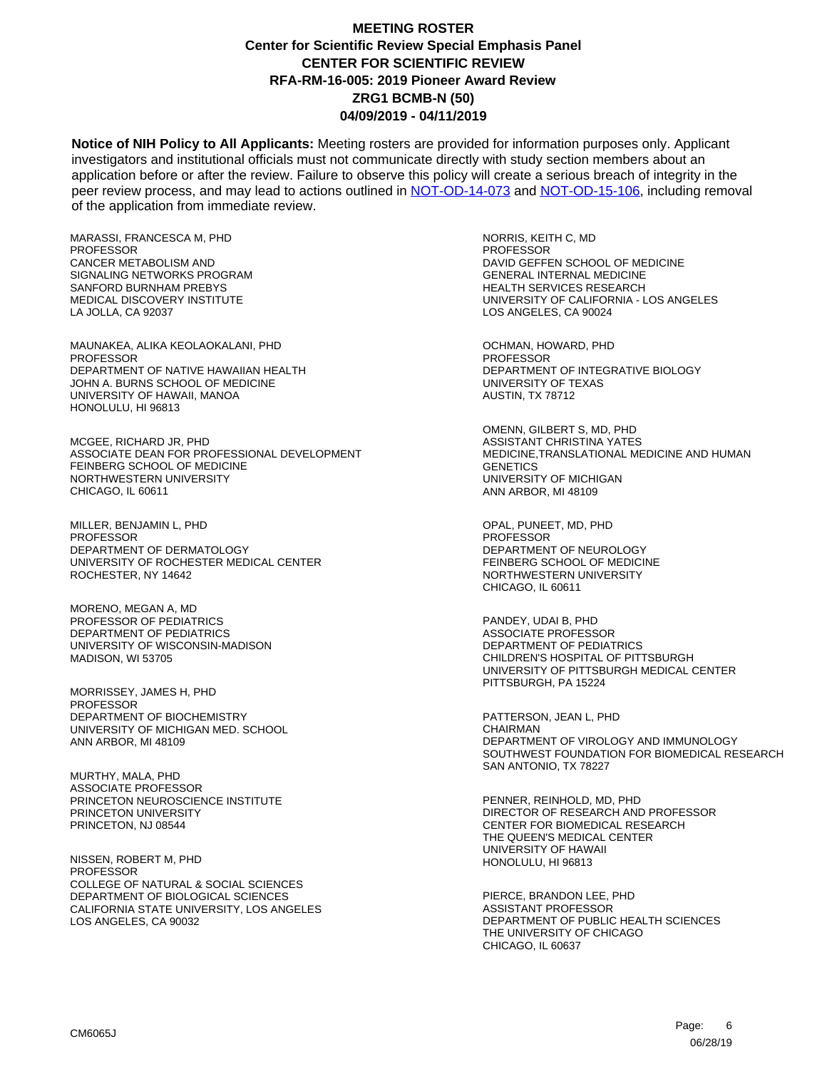**Notice of NIH Policy to All Applicants:** Meeting rosters are provided for information purposes only. Applicant investigators and institutional officials must not communicate directly with study section members about an application before or after the review. Failure to observe this policy will create a serious breach of integrity in the peer review process, and may lead to actions outlined in [NOT-OD-14-073](https://grants.nih.gov/grants/guide/notice-files/NOT-OD-14-073.html) and [NOT-OD-15-106,](https://grants.nih.gov/grants/guide/notice-files/NOT-OD-15-106.html) including removal of the application from immediate review.

MARASSI, FRANCESCA M, PHD PROFESSOR CANCER METABOLISM AND SIGNALING NETWORKS PROGRAM SANFORD BURNHAM PREBYS MEDICAL DISCOVERY INSTITUTE LA JOLLA, CA 92037

MAUNAKEA, ALIKA KEOLAOKALANI, PHD **PROFESSOR** DEPARTMENT OF NATIVE HAWAIIAN HEALTH JOHN A. BURNS SCHOOL OF MEDICINE UNIVERSITY OF HAWAII, MANOA HONOLULU, HI 96813

MCGEE, RICHARD JR, PHD ASSOCIATE DEAN FOR PROFESSIONAL DEVELOPMENT FEINBERG SCHOOL OF MEDICINE NORTHWESTERN UNIVERSITY CHICAGO, IL 60611

MILLER, BENJAMIN L, PHD PROFESSOR DEPARTMENT OF DERMATOLOGY UNIVERSITY OF ROCHESTER MEDICAL CENTER ROCHESTER, NY 14642

MORENO, MEGAN A, MD PROFESSOR OF PEDIATRICS DEPARTMENT OF PEDIATRICS UNIVERSITY OF WISCONSIN-MADISON MADISON, WI 53705

MORRISSEY, JAMES H, PHD **PROFESSOR** DEPARTMENT OF BIOCHEMISTRY UNIVERSITY OF MICHIGAN MED. SCHOOL ANN ARBOR, MI 48109

MURTHY, MALA, PHD ASSOCIATE PROFESSOR PRINCETON NEUROSCIENCE INSTITUTE PRINCETON UNIVERSITY PRINCETON, NJ 08544

NISSEN, ROBERT M, PHD PROFESSOR COLLEGE OF NATURAL & SOCIAL SCIENCES DEPARTMENT OF BIOLOGICAL SCIENCES CALIFORNIA STATE UNIVERSITY, LOS ANGELES LOS ANGELES, CA 90032

NORRIS, KEITH C, MD PROFESSOR DAVID GEFFEN SCHOOL OF MEDICINE GENERAL INTERNAL MEDICINE HEALTH SERVICES RESEARCH UNIVERSITY OF CALIFORNIA - LOS ANGELES LOS ANGELES, CA 90024

OCHMAN, HOWARD, PHD **PROFESSOR** DEPARTMENT OF INTEGRATIVE BIOLOGY UNIVERSITY OF TEXAS AUSTIN, TX 78712

OMENN, GILBERT S, MD, PHD ASSISTANT CHRISTINA YATES MEDICINE,TRANSLATIONAL MEDICINE AND HUMAN **GENETICS** UNIVERSITY OF MICHIGAN ANN ARBOR, MI 48109

OPAL, PUNEET, MD, PHD PROFESSOR DEPARTMENT OF NEUROLOGY FEINBERG SCHOOL OF MEDICINE NORTHWESTERN UNIVERSITY CHICAGO, IL 60611

PANDEY, UDAI B, PHD ASSOCIATE PROFESSOR DEPARTMENT OF PEDIATRICS CHILDREN'S HOSPITAL OF PITTSBURGH UNIVERSITY OF PITTSBURGH MEDICAL CENTER PITTSBURGH, PA 15224

PATTERSON, JEAN L, PHD **CHAIRMAN** DEPARTMENT OF VIROLOGY AND IMMUNOLOGY SOUTHWEST FOUNDATION FOR BIOMEDICAL RESEARCH SAN ANTONIO, TX 78227

PENNER, REINHOLD, MD, PHD DIRECTOR OF RESEARCH AND PROFESSOR CENTER FOR BIOMEDICAL RESEARCH THE QUEEN'S MEDICAL CENTER UNIVERSITY OF HAWAII HONOLULU, HI 96813

PIERCE, BRANDON LEE, PHD ASSISTANT PROFESSOR DEPARTMENT OF PUBLIC HEALTH SCIENCES THE UNIVERSITY OF CHICAGO CHICAGO, IL 60637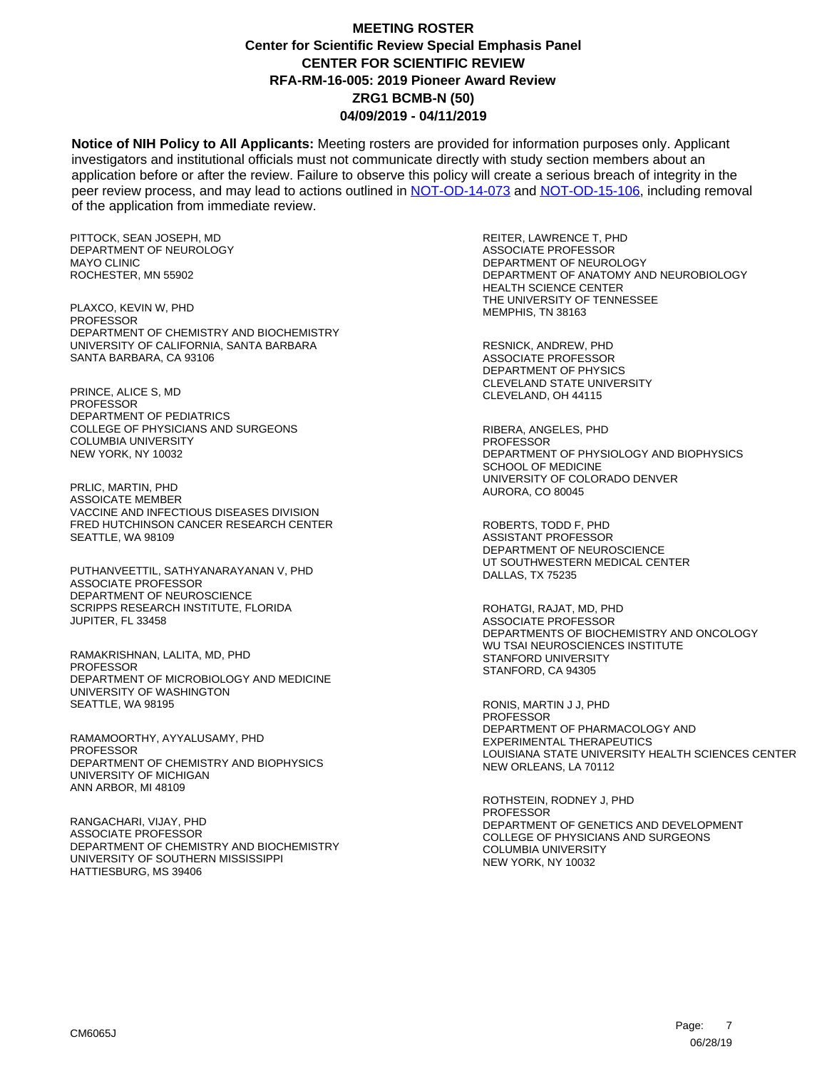**Notice of NIH Policy to All Applicants:** Meeting rosters are provided for information purposes only. Applicant investigators and institutional officials must not communicate directly with study section members about an application before or after the review. Failure to observe this policy will create a serious breach of integrity in the peer review process, and may lead to actions outlined in [NOT-OD-14-073](https://grants.nih.gov/grants/guide/notice-files/NOT-OD-14-073.html) and [NOT-OD-15-106,](https://grants.nih.gov/grants/guide/notice-files/NOT-OD-15-106.html) including removal of the application from immediate review.

PITTOCK, SEAN JOSEPH, MD DEPARTMENT OF NEUROLOGY MAYO CLINIC ROCHESTER, MN 55902

PLAXCO, KEVIN W, PHD PROFESSOR DEPARTMENT OF CHEMISTRY AND BIOCHEMISTRY UNIVERSITY OF CALIFORNIA, SANTA BARBARA SANTA BARBARA, CA 93106

PRINCE, ALICE S, MD **PROFESSOR** DEPARTMENT OF PEDIATRICS COLLEGE OF PHYSICIANS AND SURGEONS COLUMBIA UNIVERSITY NEW YORK, NY 10032

PRLIC, MARTIN, PHD ASSOICATE MEMBER VACCINE AND INFECTIOUS DISEASES DIVISION FRED HUTCHINSON CANCER RESEARCH CENTER SEATTLE, WA 98109

PUTHANVEETTIL, SATHYANARAYANAN V, PHD ASSOCIATE PROFESSOR DEPARTMENT OF NEUROSCIENCE SCRIPPS RESEARCH INSTITUTE, FLORIDA JUPITER, FL 33458

RAMAKRISHNAN, LALITA, MD, PHD PROFESSOR DEPARTMENT OF MICROBIOLOGY AND MEDICINE UNIVERSITY OF WASHINGTON SEATTLE, WA 98195

RAMAMOORTHY, AYYALUSAMY, PHD **PROFESSOR** DEPARTMENT OF CHEMISTRY AND BIOPHYSICS UNIVERSITY OF MICHIGAN ANN ARBOR, MI 48109

RANGACHARI, VIJAY, PHD ASSOCIATE PROFESSOR DEPARTMENT OF CHEMISTRY AND BIOCHEMISTRY UNIVERSITY OF SOUTHERN MISSISSIPPI HATTIESBURG, MS 39406

REITER, LAWRENCE T, PHD ASSOCIATE PROFESSOR DEPARTMENT OF NEUROLOGY DEPARTMENT OF ANATOMY AND NEUROBIOLOGY HEALTH SCIENCE CENTER THE UNIVERSITY OF TENNESSEE MEMPHIS, TN 38163

RESNICK, ANDREW, PHD ASSOCIATE PROFESSOR DEPARTMENT OF PHYSICS CLEVELAND STATE UNIVERSITY CLEVELAND, OH 44115

RIBERA, ANGELES, PHD PROFESSOR DEPARTMENT OF PHYSIOLOGY AND BIOPHYSICS SCHOOL OF MEDICINE UNIVERSITY OF COLORADO DENVER AURORA, CO 80045

ROBERTS, TODD F, PHD ASSISTANT PROFESSOR DEPARTMENT OF NEUROSCIENCE UT SOUTHWESTERN MEDICAL CENTER DALLAS, TX 75235

ROHATGI, RAJAT, MD, PHD ASSOCIATE PROFESSOR DEPARTMENTS OF BIOCHEMISTRY AND ONCOLOGY WU TSAI NEUROSCIENCES INSTITUTE STANFORD UNIVERSITY STANFORD, CA 94305

RONIS, MARTIN J J, PHD PROFESSOR DEPARTMENT OF PHARMACOLOGY AND EXPERIMENTAL THERAPEUTICS LOUISIANA STATE UNIVERSITY HEALTH SCIENCES CENTER NEW ORLEANS, LA 70112

ROTHSTEIN, RODNEY J, PHD PROFESSOR DEPARTMENT OF GENETICS AND DEVELOPMENT COLLEGE OF PHYSICIANS AND SURGEONS COLUMBIA UNIVERSITY NEW YORK, NY 10032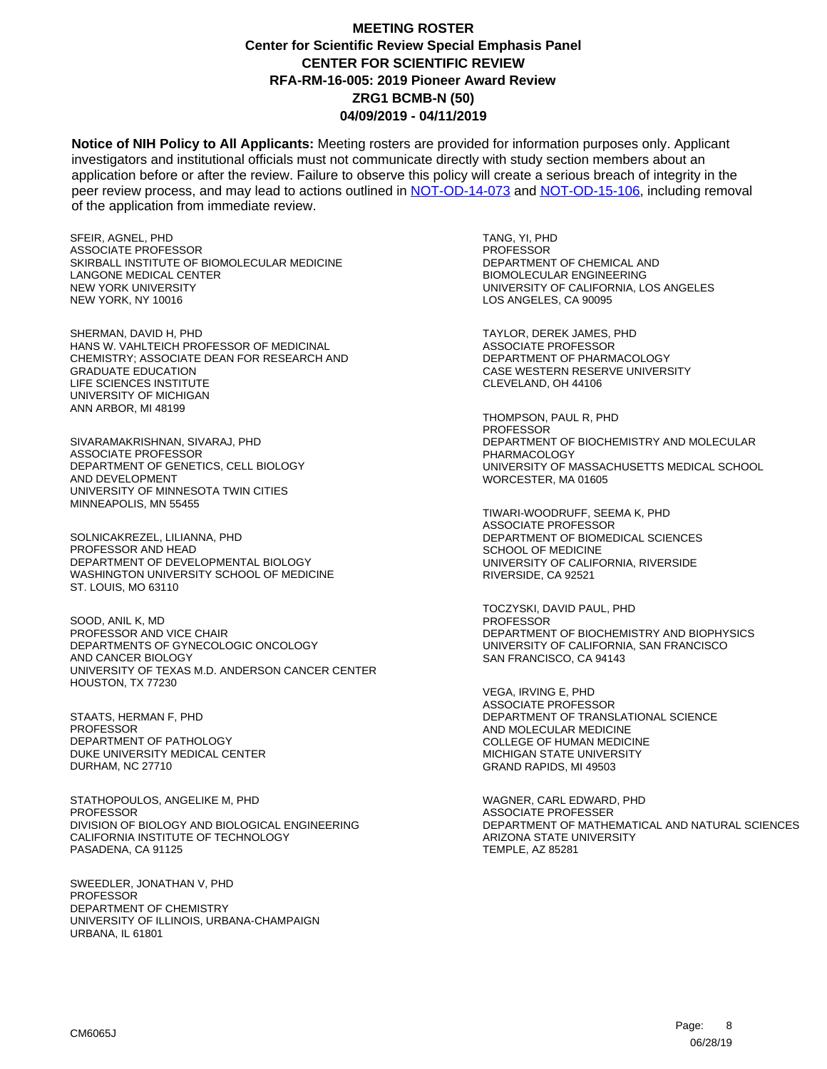**Notice of NIH Policy to All Applicants:** Meeting rosters are provided for information purposes only. Applicant investigators and institutional officials must not communicate directly with study section members about an application before or after the review. Failure to observe this policy will create a serious breach of integrity in the peer review process, and may lead to actions outlined in [NOT-OD-14-073](https://grants.nih.gov/grants/guide/notice-files/NOT-OD-14-073.html) and [NOT-OD-15-106,](https://grants.nih.gov/grants/guide/notice-files/NOT-OD-15-106.html) including removal of the application from immediate review.

SFEIR, AGNEL, PHD ASSOCIATE PROFESSOR SKIRBALL INSTITUTE OF BIOMOLECULAR MEDICINE LANGONE MEDICAL CENTER NEW YORK UNIVERSITY NEW YORK, NY 10016

SHERMAN, DAVID H, PHD HANS W. VAHLTEICH PROFESSOR OF MEDICINAL CHEMISTRY; ASSOCIATE DEAN FOR RESEARCH AND GRADUATE EDUCATION LIFE SCIENCES INSTITUTE UNIVERSITY OF MICHIGAN ANN ARBOR, MI 48199

SIVARAMAKRISHNAN, SIVARAJ, PHD ASSOCIATE PROFESSOR DEPARTMENT OF GENETICS, CELL BIOLOGY AND DEVELOPMENT UNIVERSITY OF MINNESOTA TWIN CITIES MINNEAPOLIS, MN 55455

SOLNICAKREZEL, LILIANNA, PHD PROFESSOR AND HEAD DEPARTMENT OF DEVELOPMENTAL BIOLOGY WASHINGTON UNIVERSITY SCHOOL OF MEDICINE ST. LOUIS, MO 63110

SOOD, ANIL K, MD PROFESSOR AND VICE CHAIR DEPARTMENTS OF GYNECOLOGIC ONCOLOGY AND CANCER BIOLOGY UNIVERSITY OF TEXAS M.D. ANDERSON CANCER CENTER HOUSTON, TX 77230

STAATS, HERMAN F, PHD **PROFESSOR** DEPARTMENT OF PATHOLOGY DUKE UNIVERSITY MEDICAL CENTER DURHAM, NC 27710

STATHOPOULOS, ANGELIKE M, PHD PROFESSOR DIVISION OF BIOLOGY AND BIOLOGICAL ENGINEERING CALIFORNIA INSTITUTE OF TECHNOLOGY PASADENA, CA 91125

SWEEDLER, JONATHAN V, PHD PROFESSOR DEPARTMENT OF CHEMISTRY UNIVERSITY OF ILLINOIS, URBANA-CHAMPAIGN URBANA, IL 61801

TANG, YI, PHD PROFESSOR DEPARTMENT OF CHEMICAL AND BIOMOLECULAR ENGINEERING UNIVERSITY OF CALIFORNIA, LOS ANGELES LOS ANGELES, CA 90095

TAYLOR, DEREK JAMES, PHD ASSOCIATE PROFESSOR DEPARTMENT OF PHARMACOLOGY CASE WESTERN RESERVE UNIVERSITY CLEVELAND, OH 44106

THOMPSON, PAUL R, PHD PROFESSOR DEPARTMENT OF BIOCHEMISTRY AND MOLECULAR PHARMACOLOGY UNIVERSITY OF MASSACHUSETTS MEDICAL SCHOOL WORCESTER, MA 01605

TIWARI-WOODRUFF, SEEMA K, PHD ASSOCIATE PROFESSOR DEPARTMENT OF BIOMEDICAL SCIENCES SCHOOL OF MEDICINE UNIVERSITY OF CALIFORNIA, RIVERSIDE RIVERSIDE, CA 92521

TOCZYSKI, DAVID PAUL, PHD PROFESSOR DEPARTMENT OF BIOCHEMISTRY AND BIOPHYSICS UNIVERSITY OF CALIFORNIA, SAN FRANCISCO SAN FRANCISCO, CA 94143

VEGA, IRVING E, PHD ASSOCIATE PROFESSOR DEPARTMENT OF TRANSLATIONAL SCIENCE AND MOLECULAR MEDICINE COLLEGE OF HUMAN MEDICINE MICHIGAN STATE UNIVERSITY GRAND RAPIDS, MI 49503

WAGNER, CARL EDWARD, PHD ASSOCIATE PROFESSER DEPARTMENT OF MATHEMATICAL AND NATURAL SCIENCES ARIZONA STATE UNIVERSITY TEMPLE, AZ 85281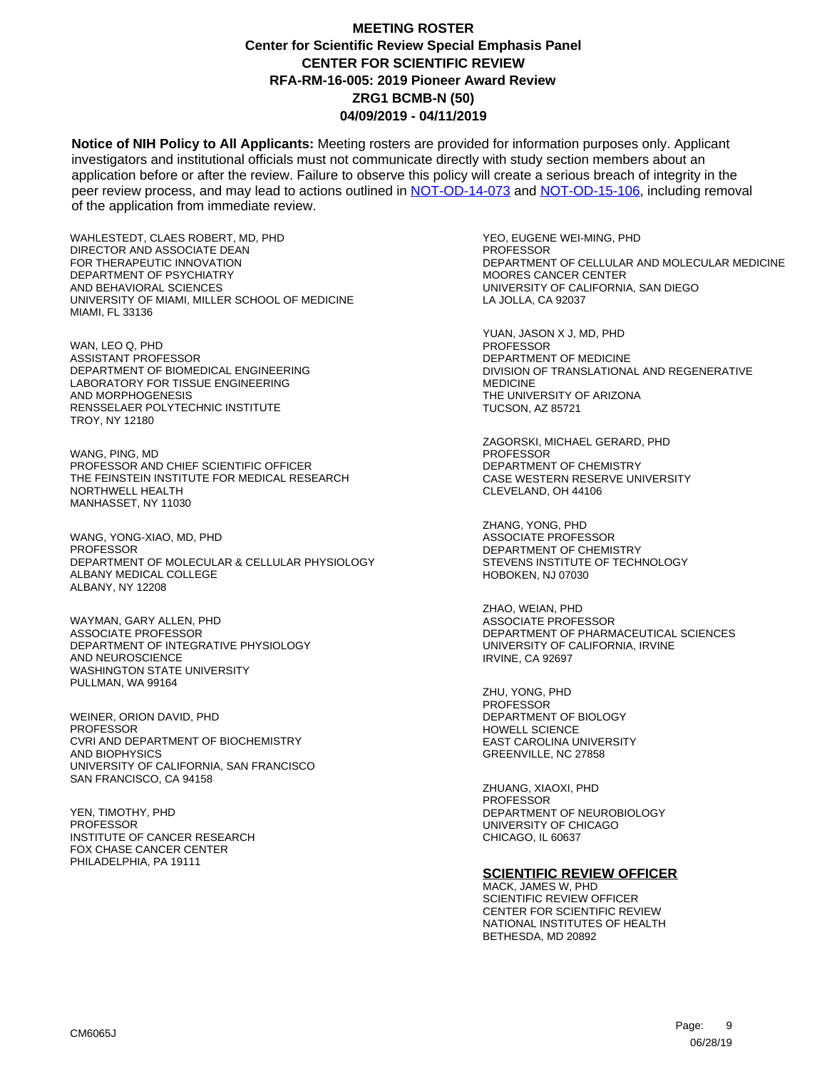**Notice of NIH Policy to All Applicants:** Meeting rosters are provided for information purposes only. Applicant investigators and institutional officials must not communicate directly with study section members about an application before or after the review. Failure to observe this policy will create a serious breach of integrity in the peer review process, and may lead to actions outlined in [NOT-OD-14-073](https://grants.nih.gov/grants/guide/notice-files/NOT-OD-14-073.html) and [NOT-OD-15-106,](https://grants.nih.gov/grants/guide/notice-files/NOT-OD-15-106.html) including removal of the application from immediate review.

WAHLESTEDT, CLAES ROBERT, MD, PHD DIRECTOR AND ASSOCIATE DEAN FOR THERAPEUTIC INNOVATION DEPARTMENT OF PSYCHIATRY AND BEHAVIORAL SCIENCES UNIVERSITY OF MIAMI, MILLER SCHOOL OF MEDICINE MIAMI, FL 33136

WAN, LEO Q, PHD ASSISTANT PROFESSOR DEPARTMENT OF BIOMEDICAL ENGINEERING LABORATORY FOR TISSUE ENGINEERING AND MORPHOGENESIS RENSSELAER POLYTECHNIC INSTITUTE TROY, NY 12180

WANG, PING, MD PROFESSOR AND CHIEF SCIENTIFIC OFFICER THE FEINSTEIN INSTITUTE FOR MEDICAL RESEARCH NORTHWELL HEALTH MANHASSET, NY 11030

WANG, YONG-XIAO, MD, PHD PROFESSOR DEPARTMENT OF MOLECULAR & CELLULAR PHYSIOLOGY ALBANY MEDICAL COLLEGE ALBANY, NY 12208

WAYMAN, GARY ALLEN, PHD ASSOCIATE PROFESSOR DEPARTMENT OF INTEGRATIVE PHYSIOLOGY AND NEUROSCIENCE WASHINGTON STATE UNIVERSITY PULLMAN, WA 99164

WEINER, ORION DAVID, PHD **PROFESSOR** CVRI AND DEPARTMENT OF BIOCHEMISTRY AND BIOPHYSICS UNIVERSITY OF CALIFORNIA, SAN FRANCISCO SAN FRANCISCO, CA 94158

YEN, TIMOTHY, PHD **PROFESSOR** INSTITUTE OF CANCER RESEARCH FOX CHASE CANCER CENTER PHILADELPHIA, PA 19111

YEO, EUGENE WEI-MING, PHD PROFESSOR DEPARTMENT OF CELLULAR AND MOLECULAR MEDICINE MOORES CANCER CENTER UNIVERSITY OF CALIFORNIA, SAN DIEGO LA JOLLA, CA 92037

YUAN, JASON X J, MD, PHD PROFESSOR DEPARTMENT OF MEDICINE DIVISION OF TRANSLATIONAL AND REGENERATIVE MEDICINE THE UNIVERSITY OF ARIZONA TUCSON, AZ 85721

ZAGORSKI, MICHAEL GERARD, PHD PROFESSOR DEPARTMENT OF CHEMISTRY CASE WESTERN RESERVE UNIVERSITY CLEVELAND, OH 44106

ZHANG, YONG, PHD ASSOCIATE PROFESSOR DEPARTMENT OF CHEMISTRY STEVENS INSTITUTE OF TECHNOLOGY HOBOKEN, NJ 07030

ZHAO, WEIAN, PHD ASSOCIATE PROFESSOR DEPARTMENT OF PHARMACEUTICAL SCIENCES UNIVERSITY OF CALIFORNIA, IRVINE IRVINE, CA 92697

ZHU, YONG, PHD PROFESSOR DEPARTMENT OF BIOLOGY HOWELL SCIENCE EAST CAROLINA UNIVERSITY GREENVILLE, NC 27858

ZHUANG, XIAOXI, PHD PROFESSOR DEPARTMENT OF NEUROBIOLOGY UNIVERSITY OF CHICAGO CHICAGO, IL 60637

#### **SCIENTIFIC REVIEW OFFICER**

MACK, JAMES W, PHD SCIENTIFIC REVIEW OFFICER CENTER FOR SCIENTIFIC REVIEW NATIONAL INSTITUTES OF HEALTH BETHESDA, MD 20892